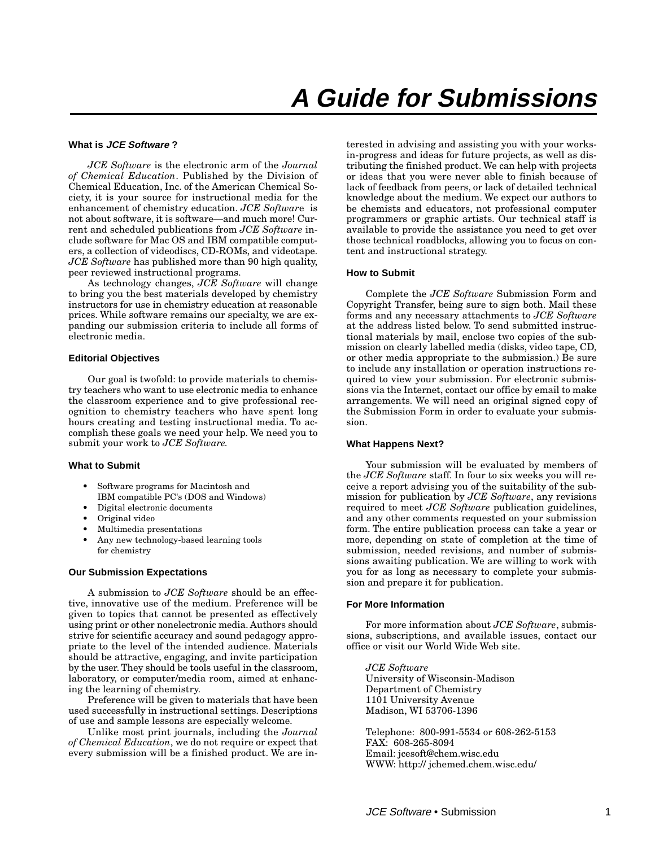### **What is JCE Software ?**

*JCE Software* is the electronic arm of the *Journal of Chemical Education*. Published by the Division of Chemical Education, Inc. of the American Chemical Society, it is your source for instructional media for the enhancement of chemistry education. *JCE Softwar*e is not about software, it is software—and much more! Current and scheduled publications from *JCE Software* include software for Mac OS and IBM compatible computers, a collection of videodiscs, CD-ROMs, and videotape. *JCE Software* has published more than 90 high quality, peer reviewed instructional programs.

As technology changes, *JCE Software* will change to bring you the best materials developed by chemistry instructors for use in chemistry education at reasonable prices. While software remains our specialty, we are expanding our submission criteria to include all forms of electronic media.

### **Editorial Objectives**

Our goal is twofold: to provide materials to chemistry teachers who want to use electronic media to enhance the classroom experience and to give professional recognition to chemistry teachers who have spent long hours creating and testing instructional media. To accomplish these goals we need your help. We need you to submit your work to *JCE Software.*

### **What to Submit**

- Software programs for Macintosh and IBM compatible PC's (DOS and Windows)
- Digital electronic documents
- Original video
- Multimedia presentations
- Any new technology-based learning tools for chemistry

### **Our Submission Expectations**

A submission to *JCE Software* should be an effective, innovative use of the medium. Preference will be given to topics that cannot be presented as effectively using print or other nonelectronic media. Authors should strive for scientific accuracy and sound pedagogy appropriate to the level of the intended audience. Materials should be attractive, engaging, and invite participation by the user. They should be tools useful in the classroom, laboratory, or computer/media room, aimed at enhancing the learning of chemistry.

Preference will be given to materials that have been used successfully in instructional settings. Descriptions of use and sample lessons are especially welcome.

Unlike most print journals, including the *Journal of Chemical Education*, we do not require or expect that every submission will be a finished product. We are interested in advising and assisting you with your worksin-progress and ideas for future projects, as well as distributing the finished product. We can help with projects or ideas that you were never able to finish because of lack of feedback from peers, or lack of detailed technical knowledge about the medium. We expect our authors to be chemists and educators, not professional computer programmers or graphic artists. Our technical staff is available to provide the assistance you need to get over those technical roadblocks, allowing you to focus on content and instructional strategy.

### **How to Submit**

Complete the *JCE Software* Submission Form and Copyright Transfer, being sure to sign both. Mail these forms and any necessary attachments to *JCE Software* at the address listed below. To send submitted instructional materials by mail, enclose two copies of the submission on clearly labelled media (disks, video tape, CD, or other media appropriate to the submission.) Be sure to include any installation or operation instructions required to view your submission. For electronic submissions via the Internet, contact our office by email to make arrangements. We will need an original signed copy of the Submission Form in order to evaluate your submission.

### **What Happens Next?**

Your submission will be evaluated by members of the *JCE Software* staff. In four to six weeks you will receive a report advising you of the suitability of the submission for publication by *JCE Software*, any revisions required to meet *JCE Software* publication guidelines, and any other comments requested on your submission form. The entire publication process can take a year or more, depending on state of completion at the time of submission, needed revisions, and number of submissions awaiting publication. We are willing to work with you for as long as necessary to complete your submission and prepare it for publication.

### **For More Information**

For more information about *JCE Software*, submissions, subscriptions, and available issues, contact our office or visit our World Wide Web site.

*JCE Software* University of Wisconsin-Madison Department of Chemistry 1101 University Avenue Madison, WI 53706-1396

Telephone: 800-991-5534 or 608-262-5153 FAX: 608-265-8094 Email: jcesoft@chem.wisc.edu WWW: http:// jchemed.chem.wisc.edu/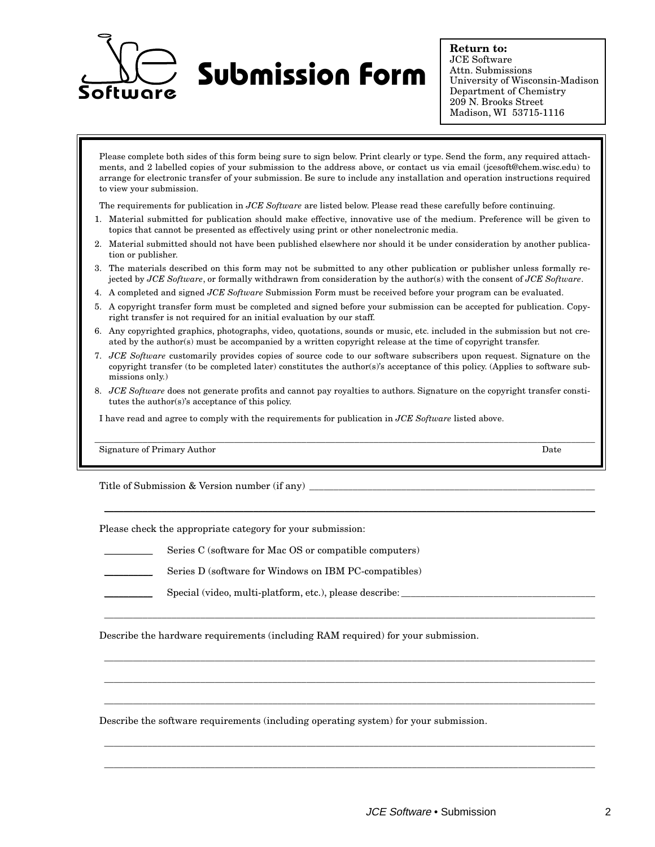

**Return to:** JCE Software Attn. Submissions University of Wisconsin-Madison Department of Chemistry 209 N. Brooks Street Madison, WI 53715-1116

Please complete both sides of this form being sure to sign below. Print clearly or type. Send the form, any required attachments, and 2 labelled copies of your submission to the address above, or contact us via email (jcesoft@chem.wisc.edu) to arrange for electronic transfer of your submission. Be sure to include any installation and operation instructions required to view your submission.

The requirements for publication in *JCE Software* are listed below. Please read these carefully before continuing.

- 1. Material submitted for publication should make effective, innovative use of the medium. Preference will be given to topics that cannot be presented as effectively using print or other nonelectronic media.
- 2. Material submitted should not have been published elsewhere nor should it be under consideration by another publication or publisher.
- 3. The materials described on this form may not be submitted to any other publication or publisher unless formally rejected by *JCE Software*, or formally withdrawn from consideration by the author(s) with the consent of *JCE Software*.
- 4. A completed and signed *JCE Software* Submission Form must be received before your program can be evaluated.
- 5. A copyright transfer form must be completed and signed before your submission can be accepted for publication. Copyright transfer is not required for an initial evaluation by our staff.
- 6. Any copyrighted graphics, photographs, video, quotations, sounds or music, etc. included in the submission but not created by the author(s) must be accompanied by a written copyright release at the time of copyright transfer.
- 7. *JCE Software* customarily provides copies of source code to our software subscribers upon request. Signature on the copyright transfer (to be completed later) constitutes the author(s)'s acceptance of this policy. (Applies to software submissions only.)
- 8. *JCE Software* does not generate profits and cannot pay royalties to authors. Signature on the copyright transfer constitutes the author(s)'s acceptance of this policy.

\_\_\_\_\_\_\_\_\_\_\_\_\_\_\_\_\_\_\_\_\_\_\_\_\_\_\_\_\_\_\_\_\_\_\_\_\_\_\_\_\_\_\_\_\_\_\_\_\_\_\_\_\_\_\_\_\_\_\_\_\_\_\_\_\_\_\_\_\_\_\_\_\_\_\_\_\_\_\_\_\_\_\_\_\_\_\_\_\_\_\_\_\_\_\_\_\_\_\_\_\_\_\_\_

\_\_\_\_\_\_\_\_\_\_\_\_\_\_\_\_\_\_\_\_\_\_\_\_\_\_\_\_\_\_\_\_\_\_\_\_\_\_\_\_\_\_\_\_\_\_\_\_\_\_\_\_\_\_\_\_\_\_\_\_\_\_\_\_\_\_\_\_\_\_\_\_\_\_\_\_\_\_\_\_\_\_\_\_\_\_\_\_\_\_\_\_\_\_\_\_\_\_\_\_\_\_

\_\_\_\_\_\_\_\_\_\_\_\_\_\_\_\_\_\_\_\_\_\_\_\_\_\_\_\_\_\_\_\_\_\_\_\_\_\_\_\_\_\_\_\_\_\_\_\_\_\_\_\_\_\_\_\_\_\_\_\_\_\_\_\_\_\_\_\_\_\_\_\_\_\_\_\_\_\_\_\_\_\_\_\_\_\_\_\_\_\_\_\_\_\_\_\_\_\_\_\_\_\_

\_\_\_\_\_\_\_\_\_\_\_\_\_\_\_\_\_\_\_\_\_\_\_\_\_\_\_\_\_\_\_\_\_\_\_\_\_\_\_\_\_\_\_\_\_\_\_\_\_\_\_\_\_\_\_\_\_\_\_\_\_\_\_\_\_\_\_\_\_\_\_\_\_\_\_\_\_\_\_\_\_\_\_\_\_\_\_\_\_\_\_\_\_\_\_\_\_\_\_\_\_\_

\_\_\_\_\_\_\_\_\_\_\_\_\_\_\_\_\_\_\_\_\_\_\_\_\_\_\_\_\_\_\_\_\_\_\_\_\_\_\_\_\_\_\_\_\_\_\_\_\_\_\_\_\_\_\_\_\_\_\_\_\_\_\_\_\_\_\_\_\_\_\_\_\_\_\_\_\_\_\_\_\_\_\_\_\_\_\_\_\_\_\_\_\_\_\_\_\_\_\_\_\_\_

\_\_\_\_\_\_\_\_\_\_\_\_\_\_\_\_\_\_\_\_\_\_\_\_\_\_\_\_\_\_\_\_\_\_\_\_\_\_\_\_\_\_\_\_\_\_\_\_\_\_\_\_\_\_\_\_\_\_\_\_\_\_\_\_\_\_\_\_\_\_\_\_\_\_\_\_\_\_\_\_\_\_\_\_\_\_\_\_\_\_\_\_\_\_\_\_\_\_\_\_\_\_

\_\_\_\_\_\_\_\_\_\_\_\_\_\_\_\_\_\_\_\_\_\_\_\_\_\_\_\_\_\_\_\_\_\_\_\_\_\_\_\_\_\_\_\_\_\_\_\_\_\_\_\_\_\_\_\_\_\_\_\_\_\_\_\_\_\_\_\_\_\_\_\_\_\_\_\_\_\_\_\_\_\_\_\_\_\_\_\_\_\_\_\_\_\_\_\_\_\_\_\_\_\_

\_\_\_\_\_\_\_\_\_\_\_\_\_\_\_\_\_\_\_\_\_\_\_\_\_\_\_\_\_\_\_\_\_\_\_\_\_\_\_\_\_\_\_\_\_\_\_\_\_\_\_\_\_\_\_\_\_\_\_\_\_\_\_\_\_\_\_\_\_\_\_\_\_\_\_\_\_\_\_\_\_\_\_\_\_\_\_\_\_\_\_\_\_\_\_\_\_\_\_\_\_\_

I have read and agree to comply with the requirements for publication in *JCE Software* listed above.

Signature of Primary Author Date No. 2014 and 2015 and 2016 and 2017 and 2018 and 2017 and 2018 and 2018 and 2017 and 2018 and 2017 and 2018 and 2017 and 2018 and 2018 and 2019 and 2018 and 2018 and 2018 and 2018 and 2018

Title of Submission & Version number (if any)

Please check the appropriate category for your submission:

- Series C (software for Mac OS or compatible computers)
- Series D (software for Windows on IBM PC-compatibles)
- Special (video, multi-platform, etc.), please describe:

Describe the hardware requirements (including RAM required) for your submission.

Describe the software requirements (including operating system) for your submission.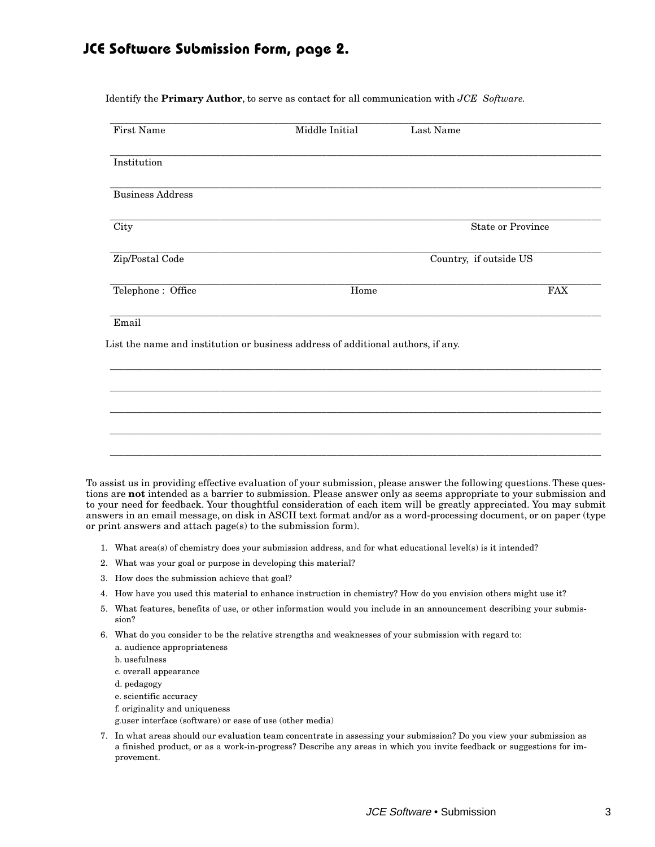### **JCE Software Submission Form, page 2.**

Identify the **Primary Author**, to serve as contact for all communication with *JCE Software.*

| First Name              | Middle Initial                                                                   | Last Name                |            |  |
|-------------------------|----------------------------------------------------------------------------------|--------------------------|------------|--|
| Institution             |                                                                                  |                          |            |  |
| <b>Business Address</b> |                                                                                  |                          |            |  |
| City                    |                                                                                  | <b>State or Province</b> |            |  |
| Zip/Postal Code         |                                                                                  | Country, if outside US   |            |  |
| Telephone: Office       | Home                                                                             |                          | <b>FAX</b> |  |
| Email                   | List the name and institution or business address of additional authors, if any. |                          |            |  |
|                         |                                                                                  |                          |            |  |
|                         |                                                                                  |                          |            |  |
|                         |                                                                                  |                          |            |  |

To assist us in providing effective evaluation of your submission, please answer the following questions. These questions are **not** intended as a barrier to submission. Please answer only as seems appropriate to your submission and to your need for feedback. Your thoughtful consideration of each item will be greatly appreciated. You may submit answers in an email message, on disk in ASCII text format and/or as a word-processing document, or on paper (type or print answers and attach page(s) to the submission form).

- 1. What area(s) of chemistry does your submission address, and for what educational level(s) is it intended?
- 2. What was your goal or purpose in developing this material?
- 3. How does the submission achieve that goal?
- 4. How have you used this material to enhance instruction in chemistry? How do you envision others might use it?
- 5. What features, benefits of use, or other information would you include in an announcement describing your submission?
- 6. What do you consider to be the relative strengths and weaknesses of your submission with regard to: a. audience appropriateness
	- b. usefulness
	- c. overall appearance
	- d. pedagogy
	- e. scientific accuracy
	- f. originality and uniqueness
	- g.user interface (software) or ease of use (other media)
- 7. In what areas should our evaluation team concentrate in assessing your submission? Do you view your submission as a finished product, or as a work-in-progress? Describe any areas in which you invite feedback or suggestions for improvement.